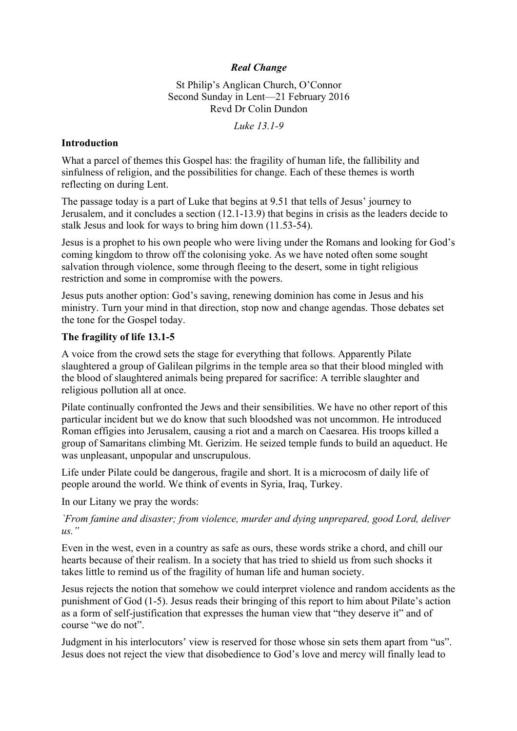# *Real Change*

St Philip's Anglican Church, O'Connor Second Sunday in Lent—21 February 2016 Revd Dr Colin Dundon

*Luke 13.1-9*

#### **Introduction**

What a parcel of themes this Gospel has: the fragility of human life, the fallibility and sinfulness of religion, and the possibilities for change. Each of these themes is worth reflecting on during Lent.

The passage today is a part of Luke that begins at 9.51 that tells of Jesus' journey to Jerusalem, and it concludes a section (12.1-13.9) that begins in crisis as the leaders decide to stalk Jesus and look for ways to bring him down (11.53-54).

Jesus is a prophet to his own people who were living under the Romans and looking for God's coming kingdom to throw off the colonising yoke. As we have noted often some sought salvation through violence, some through fleeing to the desert, some in tight religious restriction and some in compromise with the powers.

Jesus puts another option: God's saving, renewing dominion has come in Jesus and his ministry. Turn your mind in that direction, stop now and change agendas. Those debates set the tone for the Gospel today.

### **The fragility of life 13.1-5**

A voice from the crowd sets the stage for everything that follows. Apparently Pilate slaughtered a group of Galilean pilgrims in the temple area so that their blood mingled with the blood of slaughtered animals being prepared for sacrifice: A terrible slaughter and religious pollution all at once.

Pilate continually confronted the Jews and their sensibilities. We have no other report of this particular incident but we do know that such bloodshed was not uncommon. He introduced Roman effigies into Jerusalem, causing a riot and a march on Caesarea. His troops killed a group of Samaritans climbing Mt. Gerizim. He seized temple funds to build an aqueduct. He was unpleasant, unpopular and unscrupulous.

Life under Pilate could be dangerous, fragile and short. It is a microcosm of daily life of people around the world. We think of events in Syria, Iraq, Turkey.

In our Litany we pray the words:

### *`From famine and disaster; from violence, murder and dying unprepared, good Lord, deliver us."*

Even in the west, even in a country as safe as ours, these words strike a chord, and chill our hearts because of their realism. In a society that has tried to shield us from such shocks it takes little to remind us of the fragility of human life and human society.

Jesus rejects the notion that somehow we could interpret violence and random accidents as the punishment of God (1-5). Jesus reads their bringing of this report to him about Pilate's action as a form of self-justification that expresses the human view that "they deserve it" and of course "we do not".

Judgment in his interlocutors' view is reserved for those whose sin sets them apart from "us". Jesus does not reject the view that disobedience to God's love and mercy will finally lead to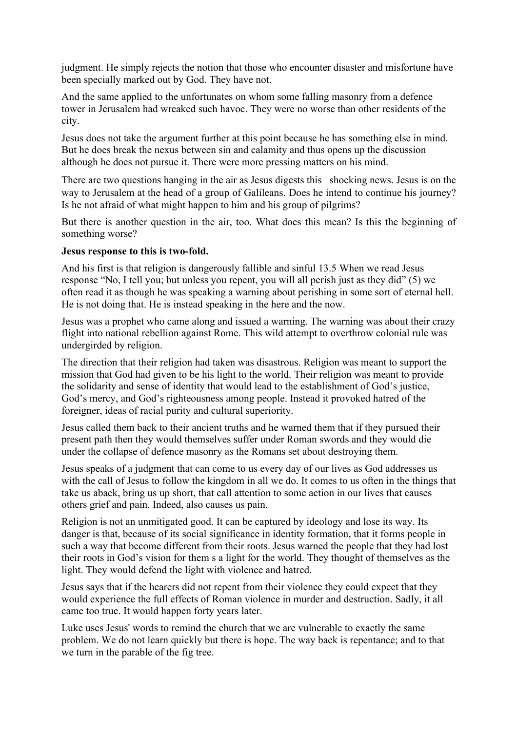judgment. He simply rejects the notion that those who encounter disaster and misfortune have been specially marked out by God. They have not.

And the same applied to the unfortunates on whom some falling masonry from a defence tower in Jerusalem had wreaked such havoc. They were no worse than other residents of the city.

Jesus does not take the argument further at this point because he has something else in mind. But he does break the nexus between sin and calamity and thus opens up the discussion although he does not pursue it. There were more pressing matters on his mind.

There are two questions hanging in the air as Jesus digests this shocking news. Jesus is on the way to Jerusalem at the head of a group of Galileans. Does he intend to continue his journey? Is he not afraid of what might happen to him and his group of pilgrims?

But there is another question in the air, too. What does this mean? Is this the beginning of something worse?

#### **Jesus response to this is two-fold.**

And his first is that religion is dangerously fallible and sinful 13.5 When we read Jesus response "No, I tell you; but unless you repent, you will all perish just as they did" (5) we often read it as though he was speaking a warning about perishing in some sort of eternal hell. He is not doing that. He is instead speaking in the here and the now.

Jesus was a prophet who came along and issued a warning. The warning was about their crazy flight into national rebellion against Rome. This wild attempt to overthrow colonial rule was undergirded by religion.

The direction that their religion had taken was disastrous. Religion was meant to support the mission that God had given to be his light to the world. Their religion was meant to provide the solidarity and sense of identity that would lead to the establishment of God's justice, God's mercy, and God's righteousness among people. Instead it provoked hatred of the foreigner, ideas of racial purity and cultural superiority.

Jesus called them back to their ancient truths and he warned them that if they pursued their present path then they would themselves suffer under Roman swords and they would die under the collapse of defence masonry as the Romans set about destroying them.

Jesus speaks of a judgment that can come to us every day of our lives as God addresses us with the call of Jesus to follow the kingdom in all we do. It comes to us often in the things that take us aback, bring us up short, that call attention to some action in our lives that causes others grief and pain. Indeed, also causes us pain.

Religion is not an unmitigated good. It can be captured by ideology and lose its way. Its danger is that, because of its social significance in identity formation, that it forms people in such a way that become different from their roots. Jesus warned the people that they had lost their roots in God's vision for them s a light for the world. They thought of themselves as the light. They would defend the light with violence and hatred.

Jesus says that if the hearers did not repent from their violence they could expect that they would experience the full effects of Roman violence in murder and destruction. Sadly, it all came too true. It would happen forty years later.

Luke uses Jesus' words to remind the church that we are vulnerable to exactly the same problem. We do not learn quickly but there is hope. The way back is repentance; and to that we turn in the parable of the fig tree.